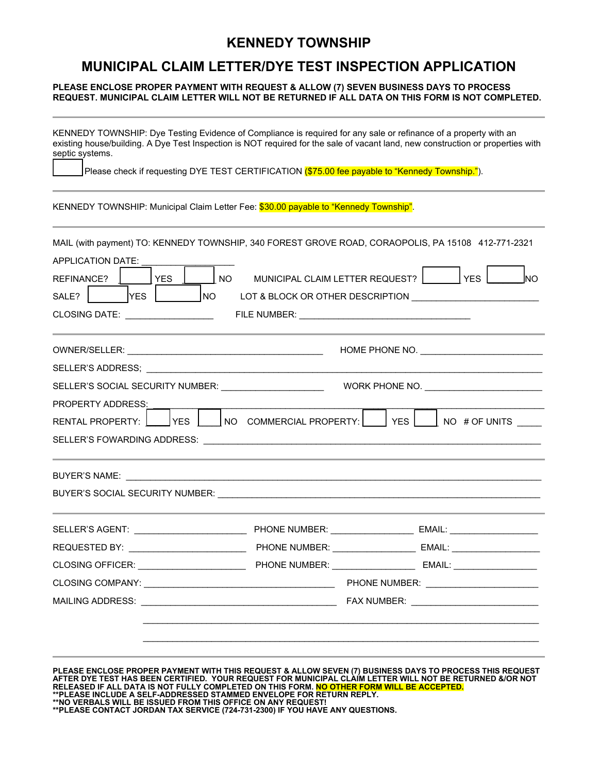## **KENNEDY TOWNSHIP**

## **MUNICIPAL CLAIM LETTER/DYE TEST INSPECTION APPLICATION**

## **PLEASE ENCLOSE PROPER PAYMENT WITH REQUEST & ALLOW (7) SEVEN BUSINESS DAYS TO PROCESS REQUEST. MUNICIPAL CLAIM LETTER WILL NOT BE RETURNED IF ALL DATA ON THIS FORM IS NOT COMPLETED.**

| septic systems.                                      |                                                                                                 | KENNEDY TOWNSHIP: Dye Testing Evidence of Compliance is required for any sale or refinance of a property with an<br>existing house/building. A Dye Test Inspection is NOT required for the sale of vacant land, new construction or properties with |  |  |  |
|------------------------------------------------------|-------------------------------------------------------------------------------------------------|-----------------------------------------------------------------------------------------------------------------------------------------------------------------------------------------------------------------------------------------------------|--|--|--|
|                                                      | Please check if requesting DYE TEST CERTIFICATION (\$75.00 fee payable to "Kennedy Township."). |                                                                                                                                                                                                                                                     |  |  |  |
|                                                      | KENNEDY TOWNSHIP: Municipal Claim Letter Fee: \$30.00 payable to "Kennedy Township".            |                                                                                                                                                                                                                                                     |  |  |  |
|                                                      |                                                                                                 | MAIL (with payment) TO: KENNEDY TOWNSHIP, 340 FOREST GROVE ROAD, CORAOPOLIS, PA 15108 412-771-2321                                                                                                                                                  |  |  |  |
| <b>APPLICATION DATE:</b><br>REFINANCE?<br><b>YES</b> | NO <sub>1</sub>                                                                                 | MUNICIPAL CLAIM LETTER REQUEST?       YES<br><b>NO</b>                                                                                                                                                                                              |  |  |  |
| <b>YES</b><br>SALE?                                  | NO                                                                                              |                                                                                                                                                                                                                                                     |  |  |  |
| CLOSING DATE: _________________                      |                                                                                                 |                                                                                                                                                                                                                                                     |  |  |  |
|                                                      |                                                                                                 |                                                                                                                                                                                                                                                     |  |  |  |
|                                                      |                                                                                                 |                                                                                                                                                                                                                                                     |  |  |  |
|                                                      | SELLER'S SOCIAL SECURITY NUMBER: ______________________                                         |                                                                                                                                                                                                                                                     |  |  |  |
| <b>PROPERTY ADDRESS:</b>                             |                                                                                                 |                                                                                                                                                                                                                                                     |  |  |  |
| <b>RENTAL PROPERTY:</b><br> YES                      | NO COMMERCIAL PROPERTY:                                                                         | <b>YES</b><br>NO # OF UNITS                                                                                                                                                                                                                         |  |  |  |
|                                                      |                                                                                                 |                                                                                                                                                                                                                                                     |  |  |  |
|                                                      |                                                                                                 |                                                                                                                                                                                                                                                     |  |  |  |
|                                                      |                                                                                                 |                                                                                                                                                                                                                                                     |  |  |  |
|                                                      |                                                                                                 |                                                                                                                                                                                                                                                     |  |  |  |
| REQUESTED BY: _________________________              |                                                                                                 | PHONE NUMBER: _________________________ EMAIL: _________________________________                                                                                                                                                                    |  |  |  |
| CLOSING OFFICER: ______________________              |                                                                                                 | PHONE NUMBER: ____________________________ EMAIL: ______________________________                                                                                                                                                                    |  |  |  |
|                                                      |                                                                                                 |                                                                                                                                                                                                                                                     |  |  |  |
|                                                      |                                                                                                 | FAX NUMBER: _____________________________                                                                                                                                                                                                           |  |  |  |
|                                                      |                                                                                                 | ,我们也不能在这里的人,我们也不能在这里的人,我们也不能在这里的人,我们也不能在这里的人,我们也不能在这里的人,我们也不能在这里的人,我们也不能在这里的人,我们也                                                                                                                                                                   |  |  |  |
|                                                      |                                                                                                 |                                                                                                                                                                                                                                                     |  |  |  |
|                                                      |                                                                                                 | PLEASE ENCLOSE PROPER PAYMENT WITH THIS REQUEST & ALLOW SEVEN (7) BUSINESS DAYS TO PROCESS THIS REQUEST<br>AFTER DYE TEST HAS BEEN CERTIFIED. YOUR REQUEST FOR MUNICIPAL CLAIM LETTER WILL NOT BE RETURNED &/OR NOT                                 |  |  |  |

**RELEASED IF ALL DATA IS NOT FULLY COMPLETED ON THIS FORM. NO OTHER FORM WILL BE ACCEPTED. \*\*PLEASE INCLUDE A SELF-ADDRESSED STAMMED ENVELOPE FOR RETURN REPLY.**

**\*\*NO VERBALS WILL BE ISSUED FROM THIS OFFICE ON ANY REQUEST! \*\*PLEASE CONTACT JORDAN TAX SERVICE (724-731-2300) IF YOU HAVE ANY QUESTIONS.**